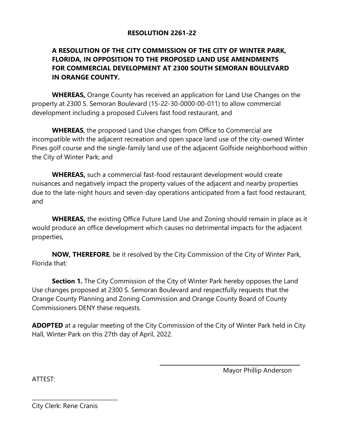## **RESOLUTION 2261-22**

## **A RESOLUTION OF THE CITY COMMISSION OF THE CITY OF WINTER PARK, FLORIDA, IN OPPOSITION TO THE PROPOSED LAND USE AMENDMENTS FOR COMMERCIAL DEVELOPMENT AT 2300 SOUTH SEMORAN BOULEVARD IN ORANGE COUNTY.**

**WHEREAS,** Orange County has received an application for Land Use Changes on the property at 2300 S. Semoran Boulevard (15-22-30-0000-00-011) to allow commercial development including a proposed Culvers fast food restaurant, and

**WHEREAS**, the proposed Land Use changes from Office to Commercial are incompatible with the adjacent recreation and open space land use of the city-owned Winter Pines golf course and the single-family land use of the adjacent Golfside neighborhood within the City of Winter Park; and

**WHEREAS,** such a commercial fast-food restaurant development would create nuisances and negatively impact the property values of the adjacent and nearby properties due to the late-night hours and seven-day operations anticipated from a fast food restaurant, and

**WHEREAS,** the existing Office Future Land Use and Zoning should remain in place as it would produce an office development which causes no detrimental impacts for the adjacent properties,

**NOW, THEREFORE**, be it resolved by the City Commission of the City of Winter Park, Florida that:

**Section 1.** The City Commission of the City of Winter Park hereby opposes the Land Use changes proposed at 2300 S. Semoran Boulevard and respectfully requests that the Orange County Planning and Zoning Commission and Orange County Board of County Commissioners DENY these requests.

**ADOPTED** at a regular meeting of the City Commission of the City of Winter Park held in City Hall, Winter Park on this 27th day of April, 2022.

ATTEST:

Mayor Phillip Anderson

City Clerk: Rene Cranis

\_\_\_\_\_\_\_\_\_\_\_\_\_\_\_\_\_\_\_\_\_\_\_\_\_\_\_\_\_\_\_